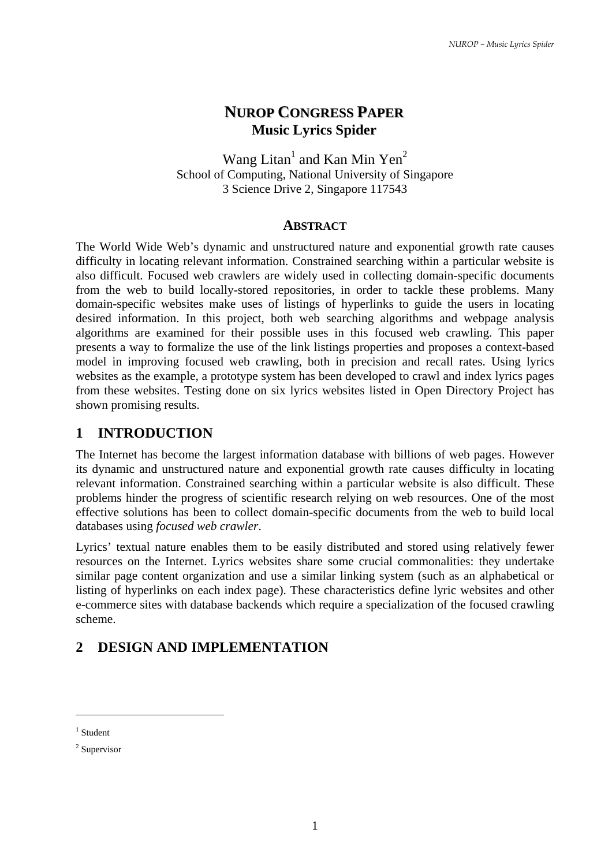## **NUROP CONGRESS PAPER Music Lyrics Spider**

Wang Litan<sup>1</sup> and Kan Min Yen<sup>2</sup> School of Computing, National University of Singapore 3 Science Drive 2, Singapore 117543

#### **ABSTRACT**

The World Wide Web's dynamic and unstructured nature and exponential growth rate causes difficulty in locating relevant information. Constrained searching within a particular website is also difficult. Focused web crawlers are widely used in collecting domain-specific documents from the web to build locally-stored repositories, in order to tackle these problems. Many domain-specific websites make uses of listings of hyperlinks to guide the users in locating desired information. In this project, both web searching algorithms and webpage analysis algorithms are examined for their possible uses in this focused web crawling. This paper presents a way to formalize the use of the link listings properties and proposes a context-based model in improving focused web crawling, both in precision and recall rates. Using lyrics websites as the example, a prototype system has been developed to crawl and index lyrics pages from these websites. Testing done on six lyrics websites listed in Open Directory Project has shown promising results.

### **1 INTRODUCTION**

The Internet has become the largest information database with billions of web pages. However its dynamic and unstructured nature and exponential growth rate causes difficulty in locating relevant information. Constrained searching within a particular website is also difficult. These problems hinder the progress of scientific research relying on web resources. One of the most effective solutions has been to collect domain-specific documents from the web to build local databases using *focused web crawler*.

Lyrics' textual nature enables them to be easily distributed and stored using relatively fewer resources on the Internet. Lyrics websites share some crucial commonalities: they undertake similar page content organization and use a similar linking system (such as an alphabetical or listing of hyperlinks on each index page). These characteristics define lyric websites and other e-commerce sites with database backends which require a specialization of the focused crawling scheme.

# **2 DESIGN AND IMPLEMENTATION**

 $\overline{a}$ 

<sup>&</sup>lt;sup>1</sup> Student

<sup>2</sup> Supervisor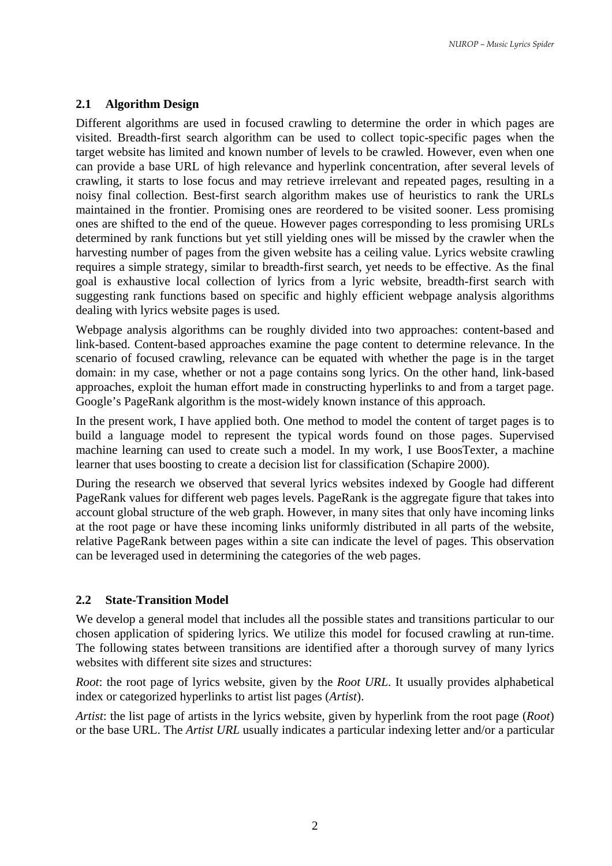#### **2.1 Algorithm Design**

Different algorithms are used in focused crawling to determine the order in which pages are visited. Breadth-first search algorithm can be used to collect topic-specific pages when the target website has limited and known number of levels to be crawled. However, even when one can provide a base URL of high relevance and hyperlink concentration, after several levels of crawling, it starts to lose focus and may retrieve irrelevant and repeated pages, resulting in a noisy final collection. Best-first search algorithm makes use of heuristics to rank the URLs maintained in the frontier. Promising ones are reordered to be visited sooner. Less promising ones are shifted to the end of the queue. However pages corresponding to less promising URLs determined by rank functions but yet still yielding ones will be missed by the crawler when the harvesting number of pages from the given website has a ceiling value. Lyrics website crawling requires a simple strategy, similar to breadth-first search, yet needs to be effective. As the final goal is exhaustive local collection of lyrics from a lyric website, breadth-first search with suggesting rank functions based on specific and highly efficient webpage analysis algorithms dealing with lyrics website pages is used.

Webpage analysis algorithms can be roughly divided into two approaches: content-based and link-based. Content-based approaches examine the page content to determine relevance. In the scenario of focused crawling, relevance can be equated with whether the page is in the target domain: in my case, whether or not a page contains song lyrics. On the other hand, link-based approaches, exploit the human effort made in constructing hyperlinks to and from a target page. Google's PageRank algorithm is the most-widely known instance of this approach.

In the present work, I have applied both. One method to model the content of target pages is to build a language model to represent the typical words found on those pages. Supervised machine learning can used to create such a model. In my work, I use BoosTexter, a machine learner that uses boosting to create a decision list for classification (Schapire 2000).

During the research we observed that several lyrics websites indexed by Google had different PageRank values for different web pages levels. PageRank is the aggregate figure that takes into account global structure of the web graph. However, in many sites that only have incoming links at the root page or have these incoming links uniformly distributed in all parts of the website, relative PageRank between pages within a site can indicate the level of pages. This observation can be leveraged used in determining the categories of the web pages.

#### **2.2 State-Transition Model**

We develop a general model that includes all the possible states and transitions particular to our chosen application of spidering lyrics. We utilize this model for focused crawling at run-time. The following states between transitions are identified after a thorough survey of many lyrics websites with different site sizes and structures:

*Root*: the root page of lyrics website, given by the *Root URL*. It usually provides alphabetical index or categorized hyperlinks to artist list pages (*Artist*).

*Artist*: the list page of artists in the lyrics website, given by hyperlink from the root page (*Root*) or the base URL. The *Artist URL* usually indicates a particular indexing letter and/or a particular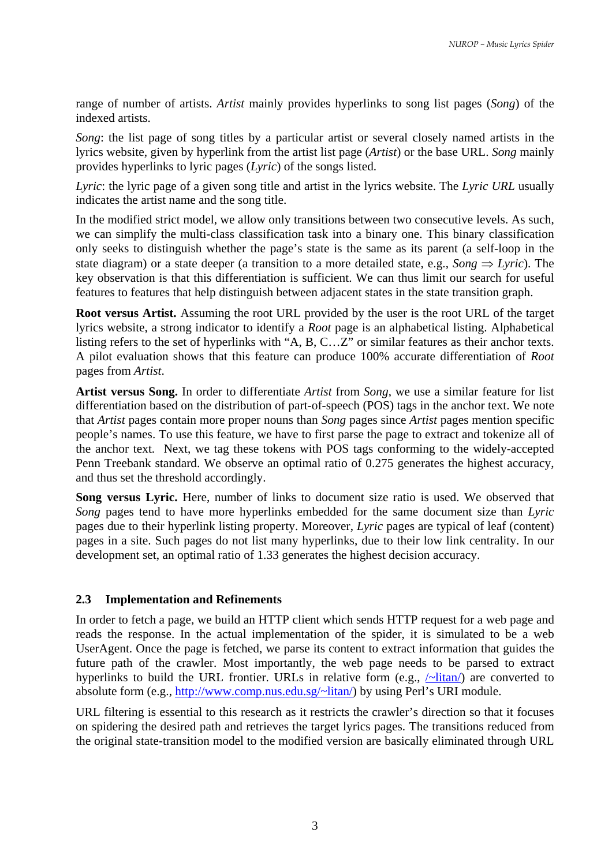range of number of artists. *Artist* mainly provides hyperlinks to song list pages (*Song*) of the indexed artists.

*Song*: the list page of song titles by a particular artist or several closely named artists in the lyrics website, given by hyperlink from the artist list page (*Artist*) or the base URL. *Song* mainly provides hyperlinks to lyric pages (*Lyric*) of the songs listed.

*Lyric*: the lyric page of a given song title and artist in the lyrics website. The *Lyric URL* usually indicates the artist name and the song title.

In the modified strict model, we allow only transitions between two consecutive levels. As such, we can simplify the multi-class classification task into a binary one. This binary classification only seeks to distinguish whether the page's state is the same as its parent (a self-loop in the state diagram) or a state deeper (a transition to a more detailed state, e.g., *Song*  $\Rightarrow$  *Lyric*). The key observation is that this differentiation is sufficient. We can thus limit our search for useful features to features that help distinguish between adjacent states in the state transition graph.

**Root versus Artist.** Assuming the root URL provided by the user is the root URL of the target lyrics website, a strong indicator to identify a *Root* page is an alphabetical listing. Alphabetical listing refers to the set of hyperlinks with "A, B, C…Z" or similar features as their anchor texts. A pilot evaluation shows that this feature can produce 100% accurate differentiation of *Root*  pages from *Artist*.

**Artist versus Song.** In order to differentiate *Artist* from *Song*, we use a similar feature for list differentiation based on the distribution of part-of-speech (POS) tags in the anchor text. We note that *Artist* pages contain more proper nouns than *Song* pages since *Artist* pages mention specific people's names. To use this feature, we have to first parse the page to extract and tokenize all of the anchor text. Next, we tag these tokens with POS tags conforming to the widely-accepted Penn Treebank standard. We observe an optimal ratio of 0.275 generates the highest accuracy, and thus set the threshold accordingly.

**Song versus Lyric.** Here, number of links to document size ratio is used. We observed that *Song* pages tend to have more hyperlinks embedded for the same document size than *Lyric* pages due to their hyperlink listing property. Moreover, *Lyric* pages are typical of leaf (content) pages in a site. Such pages do not list many hyperlinks, due to their low link centrality. In our development set, an optimal ratio of 1.33 generates the highest decision accuracy.

### **2.3 Implementation and Refinements**

In order to fetch a page, we build an HTTP client which sends HTTP request for a web page and reads the response. In the actual implementation of the spider, it is simulated to be a web UserAgent. Once the page is fetched, we parse its content to extract information that guides the future path of the crawler. Most importantly, the web page needs to be parsed to extract hyperlinks to build the URL frontier. URLs in relative form (e.g.,  $\sim$ litan) are converted to absolute form (e.g., http://www.comp.nus.edu.sg/~litan/) by using Perl's URI module.

URL filtering is essential to this research as it restricts the crawler's direction so that it focuses on spidering the desired path and retrieves the target lyrics pages. The transitions reduced from the original state-transition model to the modified version are basically eliminated through URL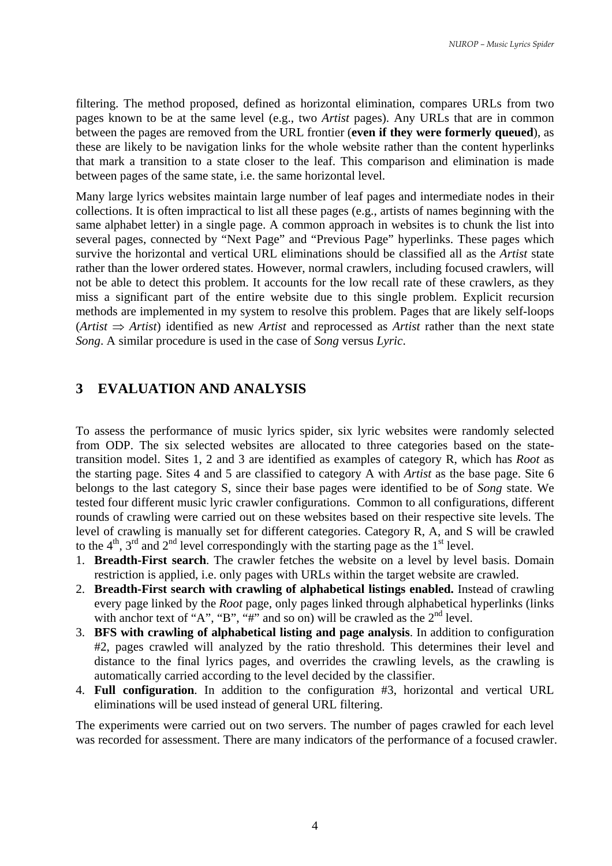filtering. The method proposed, defined as horizontal elimination, compares URLs from two pages known to be at the same level (e.g., two *Artist* pages). Any URLs that are in common between the pages are removed from the URL frontier (**even if they were formerly queued**), as these are likely to be navigation links for the whole website rather than the content hyperlinks that mark a transition to a state closer to the leaf. This comparison and elimination is made between pages of the same state, i.e. the same horizontal level.

Many large lyrics websites maintain large number of leaf pages and intermediate nodes in their collections. It is often impractical to list all these pages (e.g., artists of names beginning with the same alphabet letter) in a single page. A common approach in websites is to chunk the list into several pages, connected by "Next Page" and "Previous Page" hyperlinks. These pages which survive the horizontal and vertical URL eliminations should be classified all as the *Artist* state rather than the lower ordered states. However, normal crawlers, including focused crawlers, will not be able to detect this problem. It accounts for the low recall rate of these crawlers, as they miss a significant part of the entire website due to this single problem. Explicit recursion methods are implemented in my system to resolve this problem. Pages that are likely self-loops (*Artist* ⇒ *Artist*) identified as new *Artist* and reprocessed as *Artist* rather than the next state *Song*. A similar procedure is used in the case of *Song* versus *Lyric*.

### **3 EVALUATION AND ANALYSIS**

To assess the performance of music lyrics spider, six lyric websites were randomly selected from ODP. The six selected websites are allocated to three categories based on the statetransition model. Sites 1, 2 and 3 are identified as examples of category R, which has *Root* as the starting page. Sites 4 and 5 are classified to category A with *Artist* as the base page. Site 6 belongs to the last category S, since their base pages were identified to be of *Song* state. We tested four different music lyric crawler configurations. Common to all configurations, different rounds of crawling were carried out on these websites based on their respective site levels. The level of crawling is manually set for different categories. Category R, A, and S will be crawled to the  $4<sup>th</sup>$ ,  $3<sup>rd</sup>$  and  $2<sup>nd</sup>$  level correspondingly with the starting page as the  $1<sup>st</sup>$  level.

- 1. **Breadth-First search**. The crawler fetches the website on a level by level basis. Domain restriction is applied, i.e. only pages with URLs within the target website are crawled.
- 2. **Breadth-First search with crawling of alphabetical listings enabled.** Instead of crawling every page linked by the *Root* page, only pages linked through alphabetical hyperlinks (links with anchor text of "A", "B", "#" and so on) will be crawled as the  $2<sup>nd</sup>$  level.
- 3. **BFS with crawling of alphabetical listing and page analysis**. In addition to configuration #2, pages crawled will analyzed by the ratio threshold. This determines their level and distance to the final lyrics pages, and overrides the crawling levels, as the crawling is automatically carried according to the level decided by the classifier.
- 4. **Full configuration**. In addition to the configuration #3, horizontal and vertical URL eliminations will be used instead of general URL filtering.

The experiments were carried out on two servers. The number of pages crawled for each level was recorded for assessment. There are many indicators of the performance of a focused crawler.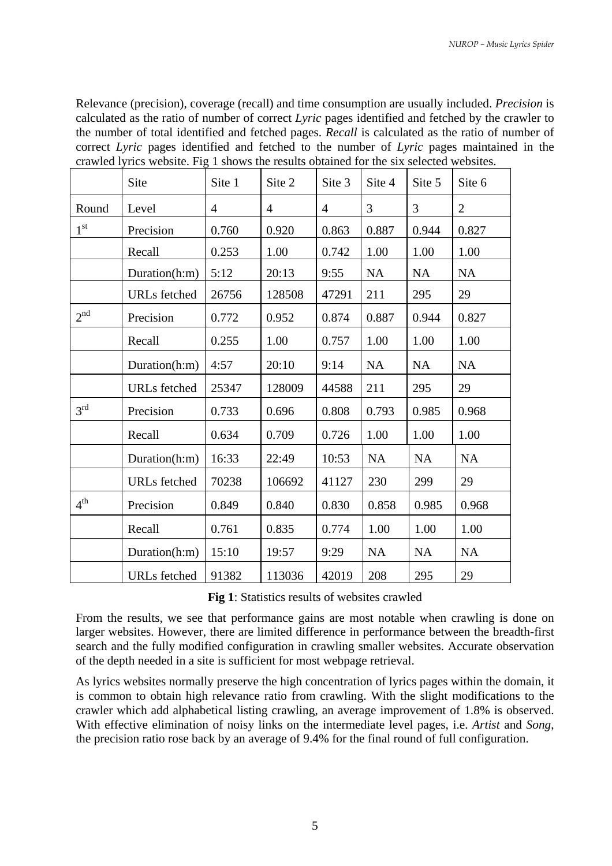Relevance (precision), coverage (recall) and time consumption are usually included. *Precision* is calculated as the ratio of number of correct *Lyric* pages identified and fetched by the crawler to the number of total identified and fetched pages. *Recall* is calculated as the ratio of number of correct *Lyric* pages identified and fetched to the number of *Lyric* pages maintained in the crawled lyrics website. Fig 1 shows the results obtained for the six selected websites.

|                 | Site                | Site 1         | Site 2         | Site 3         | Site 4    | Site 5    | Site 6         |
|-----------------|---------------------|----------------|----------------|----------------|-----------|-----------|----------------|
| Round           | Level               | $\overline{4}$ | $\overline{4}$ | $\overline{4}$ | 3         | 3         | $\overline{2}$ |
| 1 <sup>st</sup> | Precision           | 0.760          | 0.920          | 0.863          | 0.887     | 0.944     | 0.827          |
|                 | Recall              | 0.253          | 1.00           | 0.742          | 1.00      | 1.00      | 1.00           |
|                 | Duration(h:m)       | 5:12           | 20:13          | 9:55           | <b>NA</b> | <b>NA</b> | <b>NA</b>      |
|                 | <b>URLs</b> fetched | 26756          | 128508         | 47291          | 211       | 295       | 29             |
| 2 <sup>nd</sup> | Precision           | 0.772          | 0.952          | 0.874          | 0.887     | 0.944     | 0.827          |
|                 | Recall              | 0.255          | 1.00           | 0.757          | 1.00      | 1.00      | 1.00           |
|                 | Duration(h:m)       | 4:57           | 20:10          | 9:14           | <b>NA</b> | <b>NA</b> | <b>NA</b>      |
|                 | <b>URLs</b> fetched | 25347          | 128009         | 44588          | 211       | 295       | 29             |
| $3^{\text{rd}}$ | Precision           | 0.733          | 0.696          | 0.808          | 0.793     | 0.985     | 0.968          |
|                 | Recall              | 0.634          | 0.709          | 0.726          | 1.00      | 1.00      | 1.00           |
|                 | Duration(h:m)       | 16:33          | 22:49          | 10:53          | <b>NA</b> | <b>NA</b> | <b>NA</b>      |
|                 | <b>URLs</b> fetched | 70238          | 106692         | 41127          | 230       | 299       | 29             |
| 4 <sup>th</sup> | Precision           | 0.849          | 0.840          | 0.830          | 0.858     | 0.985     | 0.968          |
|                 | Recall              | 0.761          | 0.835          | 0.774          | 1.00      | 1.00      | 1.00           |
|                 | Duration(h:m)       | 15:10          | 19:57          | 9:29           | <b>NA</b> | <b>NA</b> | <b>NA</b>      |
|                 | <b>URLs</b> fetched | 91382          | 113036         | 42019          | 208       | 295       | 29             |

|  | Fig 1: Statistics results of websites crawled |
|--|-----------------------------------------------|
|--|-----------------------------------------------|

From the results, we see that performance gains are most notable when crawling is done on larger websites. However, there are limited difference in performance between the breadth-first search and the fully modified configuration in crawling smaller websites. Accurate observation of the depth needed in a site is sufficient for most webpage retrieval.

As lyrics websites normally preserve the high concentration of lyrics pages within the domain, it is common to obtain high relevance ratio from crawling. With the slight modifications to the crawler which add alphabetical listing crawling, an average improvement of 1.8% is observed. With effective elimination of noisy links on the intermediate level pages, i.e. *Artist* and *Song*, the precision ratio rose back by an average of 9.4% for the final round of full configuration.